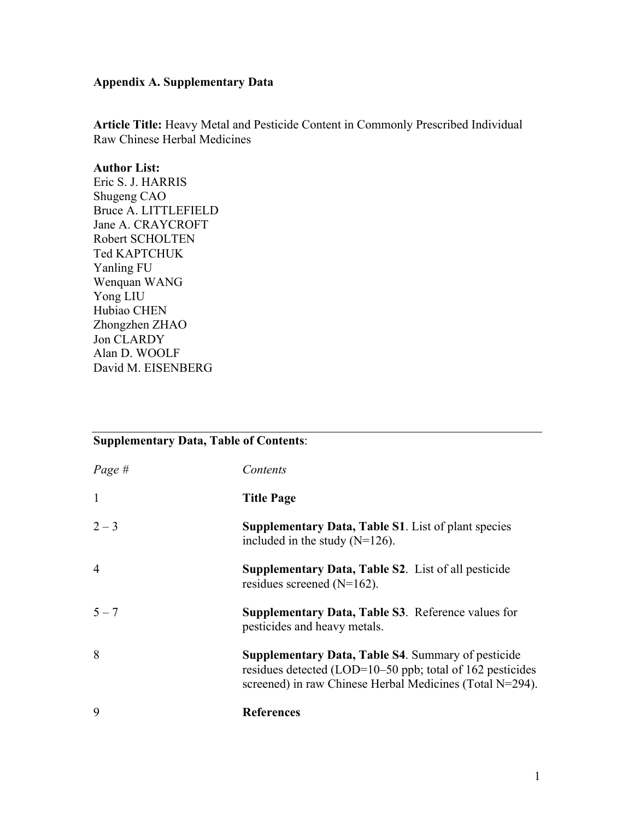## **Appendix A. Supplementary Data**

**Article Title:** Heavy Metal and Pesticide Content in Commonly Prescribed Individual Raw Chinese Herbal Medicines

### **Author List:**

Eric S. J. HARRIS Shugeng CAO Bruce A. LITTLEFIELD Jane A. CRAYCROFT Robert SCHOLTEN Ted KAPTCHUK Yanling FU Wenquan WANG Yong LIU Hubiao CHEN Zhongzhen ZHAO Jon CLARDY Alan D. WOOLF David M. EISENBERG

# **Supplementary Data, Table of Contents**:

| Page #         | Contents                                                                                                                                                                              |
|----------------|---------------------------------------------------------------------------------------------------------------------------------------------------------------------------------------|
| $\mathbf{1}$   | <b>Title Page</b>                                                                                                                                                                     |
| $2 - 3$        | <b>Supplementary Data, Table S1.</b> List of plant species<br>included in the study $(N=126)$ .                                                                                       |
| $\overline{4}$ | <b>Supplementary Data, Table S2.</b> List of all pesticide<br>residues screened $(N=162)$ .                                                                                           |
| $5 - 7$        | Supplementary Data, Table S3. Reference values for<br>pesticides and heavy metals.                                                                                                    |
| 8              | <b>Supplementary Data, Table S4. Summary of pesticide</b><br>residues detected (LOD= $10-50$ ppb; total of 162 pesticides<br>screened) in raw Chinese Herbal Medicines (Total N=294). |
| $\mathbf Q$    | <b>References</b>                                                                                                                                                                     |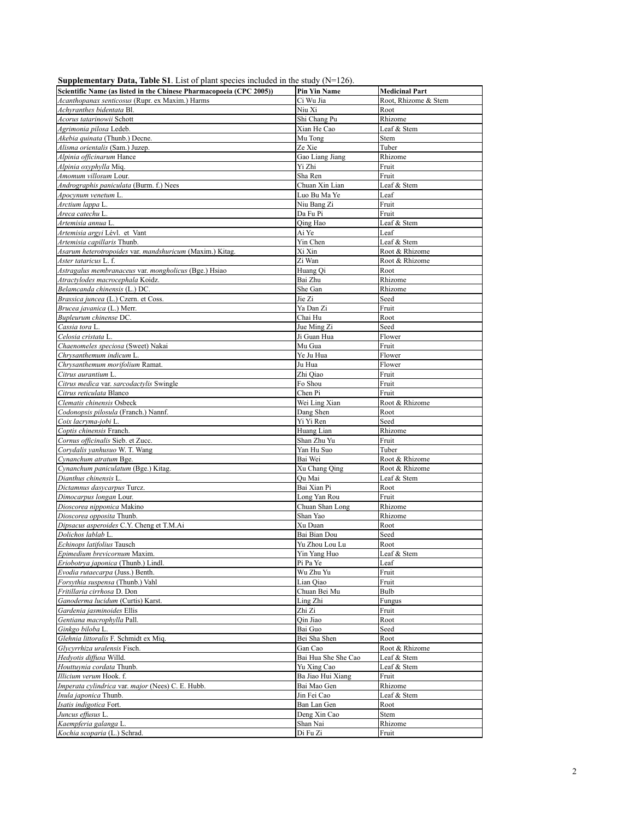| $\alpha$ or $\beta$ or $\alpha$ or $\beta$ or $\alpha$ or $\beta$ or $\beta$ or $\beta$ or $\beta$ or $\beta$ or $\alpha$ or $\alpha$ or $\beta$ or $\alpha$ or $\beta$ |                     |                       |
|-------------------------------------------------------------------------------------------------------------------------------------------------------------------------|---------------------|-----------------------|
| Scientific Name (as listed in the Chinese Pharmacopoeia (CPC 2005))                                                                                                     | <b>Pin Yin Name</b> | <b>Medicinal Part</b> |
| Acanthopanax senticosus (Rupr. ex Maxim.) Harms                                                                                                                         | Ci Wu Jia           | Root, Rhizome & Stem  |
| Achyranthes bidentata Bl.                                                                                                                                               | Niu Xi              | Root                  |
| Acorus tatarinowii Schott                                                                                                                                               | Shi Chang Pu        | Rhizome               |
|                                                                                                                                                                         |                     |                       |
| Agrimonia pilosa Ledeb.                                                                                                                                                 | Xian He Cao         | Leaf & Stem           |
| Akebia quinata (Thunb.) Decne.                                                                                                                                          | Mu Tong             | Stem                  |
| Alisma orientalis (Sam.) Juzep.                                                                                                                                         | Ze Xie              | Tuber                 |
| Alpinia officinarum Hance                                                                                                                                               | Gao Liang Jiang     | Rhizome               |
| Alpinia oxyphylla Miq.                                                                                                                                                  | Yi Zhi              | Fruit                 |
|                                                                                                                                                                         |                     |                       |
| Amomum villosum Lour.                                                                                                                                                   | Sha Ren             | Fruit                 |
| Andrographis paniculata (Burm. f.) Nees                                                                                                                                 | Chuan Xin Lian      | Leaf & Stem           |
| Apocynum venetum L.                                                                                                                                                     | Luo Bu Ma Ye        | Leaf                  |
| Arctium lappa L.                                                                                                                                                        | Niu Bang Zi         | Fruit                 |
| Areca catechu L.                                                                                                                                                        | Da Fu Pi            | Fruit                 |
| Artemisia annua L.                                                                                                                                                      | Qing Hao            | Leaf & Stem           |
|                                                                                                                                                                         |                     |                       |
| Artemisia argyi Lévl. et Vant                                                                                                                                           | Ai Ye               | Leaf                  |
| Artemisia capillaris Thunb.                                                                                                                                             | Yin Chen            | Leaf & Stem           |
| Asarum heterotropoides var. mandshuricum (Maxim.) Kitag.                                                                                                                | Xi Xin              | Root & Rhizome        |
| Aster tataricus L. f.                                                                                                                                                   | Zi Wan              | Root & Rhizome        |
| Astragalus membranaceus var. mongholicus (Bge.) Hsiao                                                                                                                   | Huang Qi            | Root                  |
| Atractylodes macrocephala Koidz.                                                                                                                                        | Bai Zhu             | Rhizome               |
|                                                                                                                                                                         |                     |                       |
| Belamcanda chinensis (L.) DC.                                                                                                                                           | She Gan             | Rhizome               |
| Brassica juncea (L.) Czern. et Coss.                                                                                                                                    | Jie Zi              | Seed                  |
| Brucea javanica (L.) Merr.                                                                                                                                              | Ya Dan Zi           | Fruit                 |
| Bupleurum chinense DC.                                                                                                                                                  | Chai Hu             | Root                  |
| Cassia tora L.                                                                                                                                                          | Jue Ming Zi         | Seed                  |
|                                                                                                                                                                         |                     |                       |
| Celosia cristata L.                                                                                                                                                     | Ji Guan Hua         | Flower                |
| Chaenomeles speciosa (Sweet) Nakai                                                                                                                                      | Mu Gua              | Fruit                 |
| Chrysanthemum indicum L.                                                                                                                                                | Ye Ju Hua           | Flower                |
| Chrysanthemum morifolium Ramat.                                                                                                                                         | Ju Hua              | Flower                |
| Citrus aurantium L.                                                                                                                                                     | Zhi Qiao            | Fruit                 |
| Citrus medica var. sarcodactylis Swingle                                                                                                                                | Fo Shou             | Fruit                 |
|                                                                                                                                                                         |                     |                       |
| Citrus reticulata Blanco                                                                                                                                                | Chen Pi             | Fruit                 |
| Clematis chinensis Osbeck                                                                                                                                               | Wei Ling Xian       | Root & Rhizome        |
| Codonopsis pilosula (Franch.) Nannf.                                                                                                                                    | Dang Shen           | Root                  |
| Coix lacryma-jobi L.                                                                                                                                                    | Yi Yi Ren           | Seed                  |
| Coptis chinensis Franch.                                                                                                                                                | Huang Lian          | Rhizome               |
| Cornus officinalis Sieb. et Zucc.                                                                                                                                       | Shan Zhu Yu         | Fruit                 |
|                                                                                                                                                                         |                     |                       |
| Corydalis yanhusuo W. T. Wang                                                                                                                                           | Yan Hu Suo          | Tuber                 |
| Cynanchum atratum Bge.                                                                                                                                                  | Bai Wei             | Root & Rhizome        |
| Cynanchum paniculatum (Bge.) Kitag.                                                                                                                                     | Xu Chang Qing       | Root & Rhizome        |
| Dianthus chinensis L.                                                                                                                                                   | Ou Mai              | Leaf & Stem           |
| Dictamnus dasycarpus Turcz.                                                                                                                                             | Bai Xian Pi         | Root                  |
| Dimocarpus longan Lour.                                                                                                                                                 | Long Yan Rou        | Fruit                 |
|                                                                                                                                                                         |                     |                       |
| Dioscorea nipponica Makino                                                                                                                                              | Chuan Shan Long     | Rhizome               |
| Dioscorea opposita Thunb.                                                                                                                                               | Shan Yao            | Rhizome               |
| Dipsacus asperoides C.Y. Cheng et T.M.Ai                                                                                                                                | Xu Duan             | Root                  |
| Dolichos lablab L.                                                                                                                                                      | Bai Bian Dou        | Seed                  |
| Echinops latifolius Tausch                                                                                                                                              | Yu Zhou Lou Lu      | Root                  |
| Epimedium brevicornum Maxim.                                                                                                                                            | Yin Yang Huo        | Leaf & Stem           |
|                                                                                                                                                                         |                     |                       |
| Eriobotrya japonica (Thunb.) Lindl.                                                                                                                                     | Pi Pa Ye            | Leaf                  |
| Evodia rutaecarpa (Juss.) Benth.                                                                                                                                        | Wu Zhu Yu           | Fruit                 |
| Forsythia suspensa (Thunb.) Vahl                                                                                                                                        | Lian Qiao           | Fruit                 |
| Fritillaria cirrhosa D. Don                                                                                                                                             | Chuan Bei Mu        | Bulb                  |
| Ganoderma lucidum (Curtis) Karst.                                                                                                                                       | Ling Zhi            | Fungus                |
| Gardenia jasminoides Ellis                                                                                                                                              | Zhi Zi              | Fruit                 |
|                                                                                                                                                                         |                     |                       |
| Gentiana macrophylla Pall.                                                                                                                                              | Oin Jiao            | Root                  |
| Ginkgo biloba L.                                                                                                                                                        | Bai Guo             | Seed                  |
| Glehnia littoralis F. Schmidt ex Miq.                                                                                                                                   | Bei Sha Shen        | Root                  |
| Glycyrrhiza uralensis Fisch.                                                                                                                                            | Gan Cao             | Root & Rhizome        |
| Hedyotis diffusa Willd.                                                                                                                                                 | Bai Hua She She Cao | Leaf & Stem           |
|                                                                                                                                                                         |                     |                       |
| Houttuynia cordata Thunb.                                                                                                                                               | Yu Xing Cao         | Leaf & Stem           |
| Illicium verum Hook. f.                                                                                                                                                 | Ba Jiao Hui Xiang   | Fruit                 |
| Imperata cylindrica var. major (Nees) C. E. Hubb.                                                                                                                       | Bai Mao Gen         | Rhizome               |
| Inula japonica Thunb.                                                                                                                                                   | Jin Fei Cao         | Leaf & Stem           |
| Isatis indigotica Fort.                                                                                                                                                 | Ban Lan Gen         | Root                  |
| Juncus effusus L.                                                                                                                                                       | Deng Xin Cao        | Stem                  |
|                                                                                                                                                                         |                     |                       |
| Kaempferia galanga L.                                                                                                                                                   | Shan Nai            | Rhizome               |
| Kochia scoparia (L.) Schrad.                                                                                                                                            | Di Fu Zi            | Fruit                 |

| <b>Supplementary Data, Table S1</b> . List of plant species included in the study $(N=126)$ . |  |  |  |  |  |  |
|-----------------------------------------------------------------------------------------------|--|--|--|--|--|--|
|-----------------------------------------------------------------------------------------------|--|--|--|--|--|--|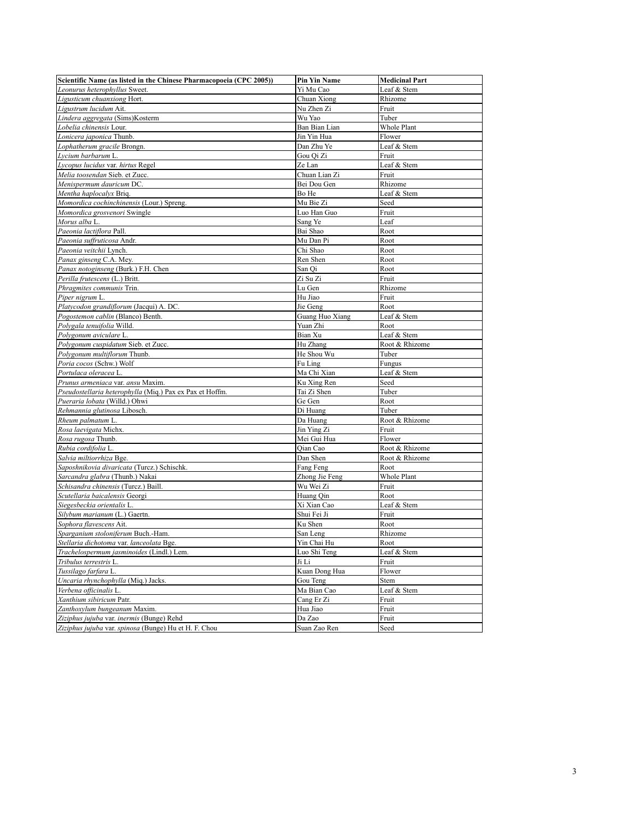| Scientific Name (as listed in the Chinese Pharmacopoeia (CPC 2005))                   | <b>Pin Yin Name</b>         | <b>Medicinal Part</b> |
|---------------------------------------------------------------------------------------|-----------------------------|-----------------------|
| Leonurus heterophyllus Sweet.                                                         | Yi Mu Cao                   | Leaf & Stem           |
| Ligusticum chuanxiong Hort                                                            | Chuan Xiong                 | Rhizome               |
| Ligustrum lucidum Ait.                                                                | Nu Zhen Zi                  | Fruit                 |
| Lindera aggregata (Sims)Kosterm                                                       | Wu Yao                      | Tuber                 |
| Lobelia chinensis Lour.                                                               | Ban Bian Lian               | Whole Plant           |
| Lonicera japonica Thunb.                                                              | Jin Yin Hua                 | Flower                |
| Lophatherum gracile Brongn.                                                           | Dan Zhu Ye                  | Leaf & Stem           |
| Lycium barbarum L.                                                                    | Gou Qi Zi                   | Fruit                 |
| Lycopus lucidus var. hirtus Regel                                                     | Ze Lan                      | Leaf & Stem           |
| Melia toosendan Sieb. et Zucc.                                                        | Chuan Lian Zi               | Fruit                 |
| Menispermum dauricum DC.                                                              | Bei Dou Gen                 | Rhizome               |
| Mentha haplocalyx Briq.                                                               | Bo He                       | Leaf & Stem           |
| Momordica cochinchinensis (Lour.) Spreng.                                             | Mu Bie Zi                   | Seed                  |
| Momordica grosvenori Swingle                                                          | Luo Han Guo                 | Fruit                 |
| Morus alba L                                                                          | Sang Ye                     | Leaf                  |
| Paeonia lactiflora Pall.                                                              | Bai Shao                    | Root                  |
| Paeonia suffruticosa Andr.                                                            | Mu Dan Pi                   | Root                  |
| Paeonia veitchii Lynch                                                                | Chi Shao                    | Root                  |
| Panax ginseng C.A. Mey.                                                               | Ren Shen                    | Root                  |
| Panax notoginseng (Burk.) F.H. Chen                                                   | San Qi                      | Root                  |
| Perilla frutescens (L.) Britt.                                                        | Zi Su Zi                    | Fruit                 |
| Phragmites communis Trin.                                                             | Lu Gen                      | Rhizome               |
| Piper nigrum L.                                                                       | Hu Jiao                     | Fruit                 |
| Platycodon grandiflorum (Jacqui) A. DC.                                               | Jie Geng                    | Root                  |
| Pogostemon cablin (Blanco) Benth.                                                     | Guang Huo Xiang             | Leaf & Stem           |
| Polygala tenuifolia Willd                                                             | Yuan Zhi                    | Root                  |
| Polygonum aviculare L                                                                 | Bian Xu                     | Leaf & Stem           |
| Polygonum cuspidatum Sieb. et Zucc.                                                   | Hu Zhang                    | Root & Rhizome        |
| Polygonum multiflorum Thunb.                                                          | He Shou Wu                  | Tuber                 |
| Poria cocos (Schw.) Wolf                                                              | Fu Ling                     | Fungus                |
| Portulaca oleracea L.                                                                 | Ma Chi Xian                 | Leaf & Stem           |
| Prunus armeniaca var. ansu Maxim.                                                     | Ku Xing Ren                 | Seed                  |
| Pseudostellaria heterophylla (Miq.) Pax ex Pax et Hoffm                               | Tai Zi Shen                 | Tuber                 |
| Pueraria lobata (Willd.) Ohwi                                                         | Ge Gen                      | Root                  |
| Rehmannia glutinosa Libosch.                                                          | Di Huang                    | Tuber                 |
| Rheum palmatum L.                                                                     | Da Huang                    | Root & Rhizome        |
| Rosa laevigata Michx.                                                                 | Jin Ying Zi                 | Fruit                 |
| Rosa rugosa Thunb.                                                                    | Mei Gui Hua                 | Flower                |
| Rubia cordifolia L.                                                                   | Qian Cao                    | Root & Rhizome        |
| Salvia miltiorrhiza Bge.                                                              | Dan Shen                    | Root & Rhizome        |
| Saposhnikovia divaricata (Turcz.) Schischk.                                           | Fang Feng                   | Root                  |
| Sarcandra glabra (Thunb.) Nakai                                                       | Zhong Jie Feng              | Whole Plant           |
| Schisandra chinensis (Turcz.) Baill                                                   | Wu Wei Zi                   | Fruit                 |
| Scutellaria baicalensis Georgi                                                        | Huang Qin                   | Root                  |
| Siegesbeckia orientalis L.                                                            | Xi Xian Cao                 | Leaf & Stem           |
| Silybum marianum (L.) Gaertn                                                          | Shui Fei Ji                 | Fruit                 |
| Sophora flavescens Ait.<br>Sparganium stoloniferum Buch.-Ham.                         | Ku Shen                     | Root<br>Rhizome       |
|                                                                                       | San Leng                    |                       |
| Stellaria dichotoma var. lanceolata Bge.<br>Trachelospermum jasminoides (Lindl.) Lem. | Yin Chai Hu<br>Luo Shi Teng | Root<br>Leaf & Stem   |
| Tribulus terrestris L.                                                                | Ji Li                       | Fruit                 |
| Tussilago farfara L.                                                                  | Kuan Dong Hua               | Flower                |
| Uncaria rhynchophylla (Mig.) Jacks.                                                   | Gou Teng                    | Stem                  |
| Verbena officinalis L.                                                                | Ma Bian Cao                 | Leaf & Stem           |
| Xanthium sibiricum Patr.                                                              | Cang Er Zi                  | Fruit                 |
| Zanthoxylum bungeanum Maxim.                                                          | Hua Jiao                    | Fruit                 |
| Ziziphus jujuba var. inermis (Bunge) Rehd                                             | Da Zao                      | Fruit                 |
| Ziziphus jujuba var. spinosa (Bunge) Hu et H. F. Chou                                 | Suan Zao Ren                | Seed                  |
|                                                                                       |                             |                       |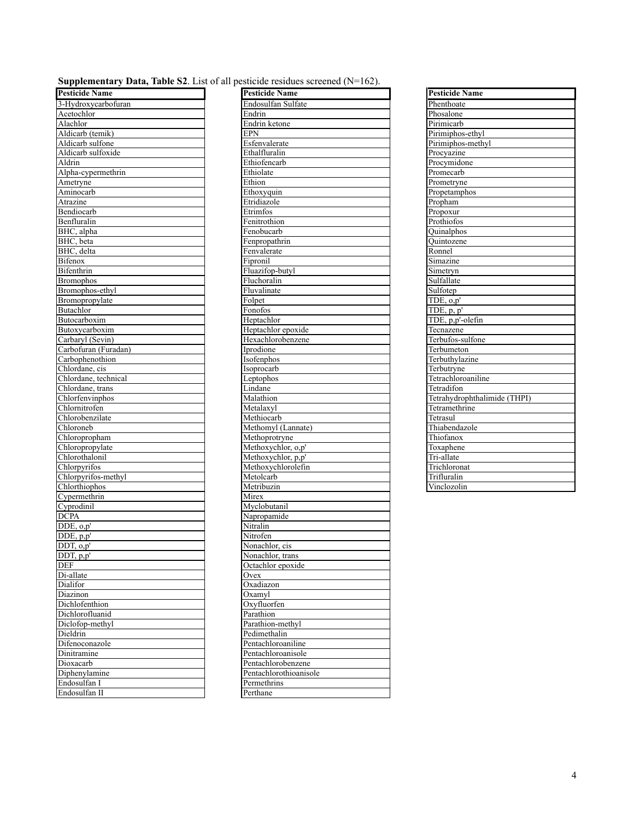| <b>Supplementary Data, Table S2</b> . List of all pesticide residues screened $(N=162)$ . |  |  |  |  |  |
|-------------------------------------------------------------------------------------------|--|--|--|--|--|
|-------------------------------------------------------------------------------------------|--|--|--|--|--|

| <b>Supplymental</b> y Data, | <b>rapid 52.</b> List of an postioned residues served |
|-----------------------------|-------------------------------------------------------|
| <b>Pesticide Name</b>       | <b>Pesticide Name</b>                                 |
| 3-Hydroxycarbofuran         | Endosulfan Sulfate                                    |
| Acetochlor                  | Endrin                                                |
| Alachlor                    | Endrin ketone                                         |
| Aldicarb (temik)            | <b>EPN</b>                                            |
| Aldicarb sulfone            | Esfenvalerate                                         |
| Aldicarb sulfoxide          | Ethalfluralin                                         |
| Aldrin                      | Ethiofencarb                                          |
| Alpha-cypermethrin          | Ethiolate                                             |
|                             | Ethion                                                |
| Ametryne<br>Aminocarb       | Ethoxyquin                                            |
|                             |                                                       |
| Atrazine                    | Etridiazole                                           |
| Bendiocarb                  | Etrimfos                                              |
| Benfluralin                 | Fenitrothion                                          |
| BHC, alpha                  | Fenobucarb                                            |
| BHC, beta                   | Fenpropathrin                                         |
| BHC, delta                  | Fenvalerate                                           |
| <b>Bifenox</b>              | Fipronil                                              |
| Bifenthrin                  | Fluazifop-butyl                                       |
| <b>Bromophos</b>            | Fluchoralin                                           |
| Bromophos-ethyl             | Fluvalinate                                           |
| Bromopropylate              | Folpet                                                |
| Butachlor                   | Fonofos                                               |
| Butocarboxim                | Heptachlor                                            |
| Butoxycarboxim              | Heptachlor epoxide                                    |
| Carbaryl (Sevin)            | Hexachlorobenzene                                     |
| Carbofuran (Furadan)        | Iprodione                                             |
| Carbophenothion             | Isofenphos                                            |
| Chlordane, cis              | Isoprocarb                                            |
| Chlordane, technical        | Leptophos                                             |
| Chlordane, trans            | Lindane                                               |
| Chlorfenvinphos             | Malathion                                             |
| Chlornitrofen               | Metalaxyl                                             |
| Chlorobenzilate             | Methiocarb                                            |
| Chloroneb                   | Methomyl (Lannate)                                    |
| Chloropropham               | Methoprotryne                                         |
| Chloropropylate             | Methoxychlor, o,p'                                    |
| Chlorothalonil              | Methoxychlor, p,p'                                    |
| Chlorpyrifos                | Methoxychlorolefin                                    |
| Chlorpyrifos-methyl         | Metolcarb                                             |
| Chlorthiophos               | Metribuzin                                            |
|                             |                                                       |
| Cypermethrin                | Mirex                                                 |
| Cyprodinil                  | Myclobutanil                                          |
| <b>DCPA</b>                 | Napropamide                                           |
| DDE, o,p'                   | Nitralin                                              |
| $\overline{\rm DDE}$ , p,p' | Nitrofen                                              |
| DDT, o.p'                   | Nonachlor, cis                                        |
| DDT, p,p'                   | Nonachlor, trans                                      |
| <b>DEF</b>                  | Octachlor epoxide                                     |
| Di-allate                   | Ovex                                                  |
| Dialifor                    | Oxadiazon                                             |
| Diazinon                    | Oxamyl                                                |
| Dichlofenthion              | Oxyfluorfen                                           |
| Dichlorofluanid             | Parathion                                             |
| Diclofop-methyl             | Parathion-methyl                                      |
| Dieldrin                    | Pedimethalin                                          |
| Difenoconazole              | Pentachloroaniline                                    |
| Dinitramine                 | Pentachloroanisole                                    |
| Dioxacarb                   | Pentachlorobenzene                                    |
| Diphenylamine               | Pentachlorothioanisole                                |
| Endosulfan I                | Permethrins                                           |
| Endosulfan II               | Perthane                                              |
|                             |                                                       |

| <b>Pesticide Name</b>             | <b>Pesticide Name</b>  | <b>Pesticide Name</b>        |
|-----------------------------------|------------------------|------------------------------|
| 3-Hydroxycarbofuran               | Endosulfan Sulfate     | Phenthoate                   |
| Acetochlor                        | Endrin                 | Phosalone                    |
| Alachlor                          | Endrin ketone          | Pirimicarb                   |
| Aldicarb (temik)                  | <b>EPN</b>             | Pirimiphos-ethyl             |
| Aldicarb sulfone                  | Esfenvalerate          | Pirimiphos-methyl            |
| Aldicarb sulfoxide                | Ethalfluralin          | Procyazine                   |
| Aldrin                            | Ethiofencarb           | Procymidone                  |
| Alpha-cypermethrin                | Ethiolate              | Promecarb                    |
| Ametryne                          | Ethion                 | Prometryne                   |
| Aminocarb                         | Ethoxyquin             | Propetamphos                 |
|                                   | Etridiazole            |                              |
| Atrazine                          |                        | Propham                      |
| Bendiocarb                        | Etrimfos               | Propoxur<br>Prothiofos       |
| Benfluralin                       | Fenitrothion           |                              |
| BHC, alpha                        | Fenobucarb             | Quinalphos                   |
| BHC, beta                         | Fenpropathrin          | Quintozene                   |
| BHC, delta                        | Fenvalerate            | Ronnel                       |
| Bifenox                           | Fipronil               | Simazine                     |
| Bifenthrin                        | Fluazifop-butyl        | Simetryn                     |
| <b>Bromophos</b>                  | Fluchoralin            | Sulfallate                   |
| Bromophos-ethyl                   | Fluvalinate            | Sulfotep                     |
| Bromopropylate                    | Folpet                 | TDE, o,p'                    |
| Butachlor                         | Fonofos                | TDE, p, p'                   |
| Butocarboxim                      | Heptachlor             | TDE, p,p'-olefin             |
| Butoxycarboxim                    | Heptachlor epoxide     | Tecnazene                    |
| Carbaryl (Sevin)                  | Hexachlorobenzene      | Terbufos-sulfone             |
| Carbofuran (Furadan)              | Iprodione              | Terbumeton                   |
| Carbophenothion                   | Isofenphos             | Terbuthylazine               |
| Chlordane, cis                    | Isoprocarb             | Terbutryne                   |
| Chlordane, technical              | Leptophos              | Tetrachloroaniline           |
| Chlordane, trans                  | Lindane                | Tetradifon                   |
| Chlorfenvinphos                   | Malathion              | Tetrahydrophthalimide (THPI) |
| Chlornitrofen                     | Metalaxyl              | Tetramethrine                |
| Chlorobenzilate                   | Methiocarb             | Tetrasul                     |
| Chloroneb                         | Methomyl (Lannate)     | Thiabendazole                |
| Chloropropham                     | Methoprotryne          | Thiofanox                    |
| Chloropropylate                   | Methoxychlor, o,p'     | Toxaphene                    |
| Chlorothalonil                    | Methoxychlor, p,p'     | Tri-allate                   |
| Chlorpyrifos                      | Methoxychlorolefin     | Trichloronat                 |
| Chlorpyrifos-methyl               | Metolcarb              | Trifluralin                  |
| Chlorthiophos                     | Metribuzin             | Vinclozolin                  |
| Cypermethrin                      | Mirex                  |                              |
| Cyprodinil                        | Myclobutanil           |                              |
| <b>DCPA</b>                       | Napropamide            |                              |
| $\overline{\text{DDE}}$ , $o, p'$ | Nitralin               |                              |
| DDE, p,p'                         | Nitrofen               |                              |
| $\overline{\mathrm{DDT}},$ o,p'   | Nonachlor, cis         |                              |
| DDT, p,p'                         | Nonachlor, trans       |                              |
| DEF                               | Octachlor epoxide      |                              |
| Di-allate                         | Ovex                   |                              |
| Dialifor                          | Oxadiazon              |                              |
| Diazinon                          | Oxamyl                 |                              |
| Dichlofenthion                    | Oxvfluorfen            |                              |
| Dichlorofluanid                   | Parathion              |                              |
| Diclofop-methyl                   | Parathion-methyl       |                              |
| Dieldrin                          | Pedimethalin           |                              |
| Difenoconazole                    | Pentachloroaniline     |                              |
|                                   |                        |                              |
| Dinitramine                       | Pentachloroanisole     |                              |
| Dioxacarb                         | Pentachlorobenzene     |                              |
| Diphenylamine                     | Pentachlorothioanisole |                              |
| Endosulfan I                      | Permethrins            |                              |
| Endosulfan II                     | Perthane               |                              |
|                                   |                        |                              |

| <b>Pesticide Name</b>             |
|-----------------------------------|
| Phenthoate                        |
| Phosalone                         |
| Pirimicarb                        |
| Pirimiphos-ethyl                  |
| Pirimiphos-methyl                 |
| Procyazine                        |
| Procymidone                       |
| Promecarb                         |
| Prometryne                        |
| Propetamphos                      |
| Propham                           |
| Propoxur                          |
| Prothiofos                        |
| Quinalphos                        |
| Ouintozene                        |
| Ronnel                            |
| Simazine                          |
| Simetryn                          |
| Sulfallate                        |
| Sulfotep                          |
| $\overline{\text{TDE}}$ , $o, p'$ |
| $TDE$ , p, p'                     |
| TDE, p,p'-olefin                  |
| Tecnazene                         |
| Terbufos-sulfone                  |
| Terbumeton                        |
| Terbuthylazine                    |
| Terbutryne                        |
| Tetrachloroaniline                |
| Tetradifon                        |
| Tetrahydrophthalimide (THPI)      |
| Tetramethrine                     |
| Tetrasul                          |
| Thiabendazole                     |
| Thiofanox                         |
| Toxaphene                         |
| Tri-allate                        |
| Trichloronat                      |
| Trifluralin                       |
| Vinclozolin                       |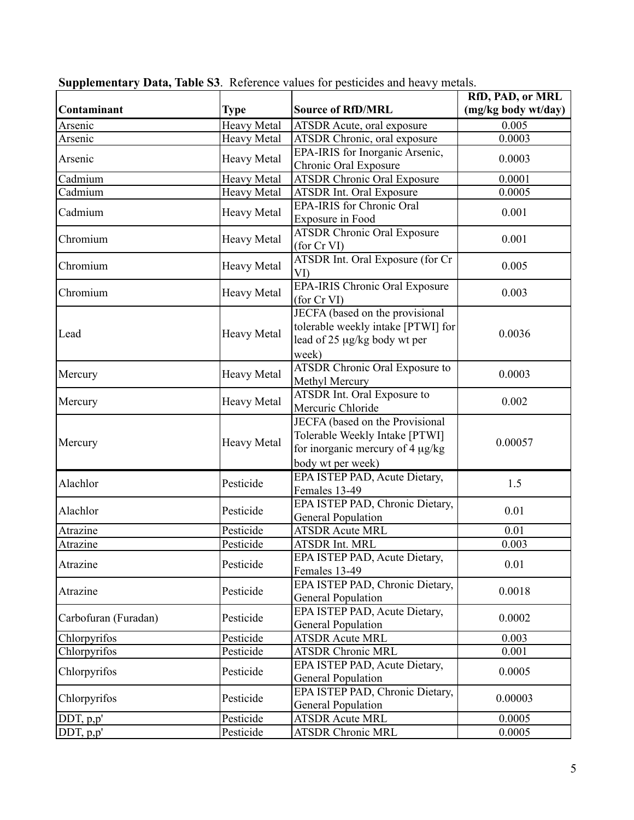| Contaminant          | <b>Type</b>        | <b>Source of RfD/MRL</b>                                                                                                   | RfD, PAD, or MRL<br>(mg/kg body wt/day) |
|----------------------|--------------------|----------------------------------------------------------------------------------------------------------------------------|-----------------------------------------|
| Arsenic              | <b>Heavy Metal</b> | ATSDR Acute, oral exposure                                                                                                 | 0.005                                   |
| Arsenic              | <b>Heavy Metal</b> | ATSDR Chronic, oral exposure                                                                                               | 0.0003                                  |
|                      |                    | EPA-IRIS for Inorganic Arsenic,                                                                                            |                                         |
| Arsenic              | <b>Heavy Metal</b> | Chronic Oral Exposure                                                                                                      | 0.0003                                  |
| Cadmium              | <b>Heavy Metal</b> | <b>ATSDR Chronic Oral Exposure</b>                                                                                         | 0.0001                                  |
| Cadmium              | <b>Heavy Metal</b> | <b>ATSDR Int. Oral Exposure</b>                                                                                            | 0.0005                                  |
| Cadmium              | <b>Heavy Metal</b> | <b>EPA-IRIS</b> for Chronic Oral<br>Exposure in Food                                                                       | 0.001                                   |
| Chromium             | <b>Heavy Metal</b> | <b>ATSDR Chronic Oral Exposure</b><br>(for Cr VI)                                                                          | 0.001                                   |
| Chromium             | <b>Heavy Metal</b> | ATSDR Int. Oral Exposure (for Cr<br>VI)                                                                                    | 0.005                                   |
| Chromium             | <b>Heavy Metal</b> | <b>EPA-IRIS Chronic Oral Exposure</b><br>(for Cr VI)                                                                       | 0.003                                   |
| Lead                 | <b>Heavy Metal</b> | JECFA (based on the provisional<br>tolerable weekly intake [PTWI] for<br>lead of 25 µg/kg body wt per<br>week)             | 0.0036                                  |
| Mercury              | <b>Heavy Metal</b> | <b>ATSDR Chronic Oral Exposure to</b><br>Methyl Mercury                                                                    | 0.0003                                  |
| Mercury              | <b>Heavy Metal</b> | ATSDR Int. Oral Exposure to<br>Mercuric Chloride                                                                           | 0.002                                   |
| Mercury              | <b>Heavy Metal</b> | JECFA (based on the Provisional<br>Tolerable Weekly Intake [PTWI]<br>for inorganic mercury of 4 µg/kg<br>body wt per week) | 0.00057                                 |
| Alachlor             | Pesticide          | EPA ISTEP PAD, Acute Dietary,<br>Females 13-49                                                                             | 1.5                                     |
| Alachlor             | Pesticide          | EPA ISTEP PAD, Chronic Dietary,<br><b>General Population</b>                                                               | 0.01                                    |
| Atrazine             | Pesticide          | <b>ATSDR Acute MRL</b>                                                                                                     | 0.01                                    |
| Atrazine             | Pesticide          | ATSDR Int. MRL                                                                                                             | 0.003                                   |
| Atrazine             | Pesticide          | EPA ISTEP PAD, Acute Dietary,<br>Females 13-49                                                                             | 0.01                                    |
| Atrazine             | Pesticide          | EPA ISTEP PAD, Chronic Dietary,<br><b>General Population</b>                                                               | 0.0018                                  |
| Carbofuran (Furadan) | Pesticide          | EPA ISTEP PAD, Acute Dietary,<br><b>General Population</b>                                                                 | 0.0002                                  |
| Chlorpyrifos         | Pesticide          | <b>ATSDR Acute MRL</b>                                                                                                     | 0.003                                   |
| Chlorpyrifos         | Pesticide          | <b>ATSDR Chronic MRL</b>                                                                                                   | 0.001                                   |
| Chlorpyrifos         | Pesticide          | EPA ISTEP PAD, Acute Dietary,<br><b>General Population</b>                                                                 | 0.0005                                  |
| Chlorpyrifos         | Pesticide          | EPA ISTEP PAD, Chronic Dietary,<br><b>General Population</b>                                                               | 0.00003                                 |
| DDT, p,p'            | Pesticide          | <b>ATSDR Acute MRL</b>                                                                                                     | 0.0005                                  |
| DDT, p, p'           | Pesticide          | <b>ATSDR Chronic MRL</b>                                                                                                   | 0.0005                                  |

| Supplementary Data, Table S3. Reference values for pesticides and heavy metals. |  |  |  |
|---------------------------------------------------------------------------------|--|--|--|
|---------------------------------------------------------------------------------|--|--|--|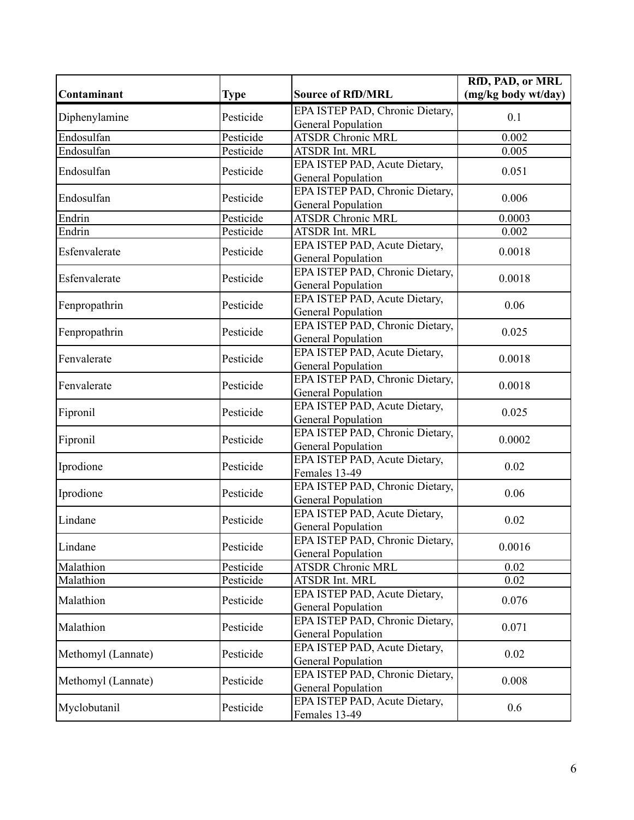| (mg/kg body wt/day)<br>Contaminant<br><b>Source of RfD/MRL</b><br>Type<br>EPA ISTEP PAD, Chronic Dietary,<br>Diphenylamine<br>Pesticide<br>0.1<br><b>General Population</b><br><b>ATSDR Chronic MRL</b><br>Endosulfan<br>Pesticide<br>0.002<br>Pesticide<br>Endosulfan<br><b>ATSDR Int. MRL</b><br>0.005<br>EPA ISTEP PAD, Acute Dietary,<br>Pesticide<br>0.051<br>Endosulfan<br><b>General Population</b><br>EPA ISTEP PAD, Chronic Dietary,<br>Endosulfan<br>Pesticide<br>0.006<br><b>General Population</b><br><b>ATSDR Chronic MRL</b><br>Pesticide<br>Endrin<br>0.0003<br>Endrin<br>Pesticide<br>ATSDR Int. MRL<br>0.002<br>EPA ISTEP PAD, Acute Dietary,<br>Esfenvalerate<br>Pesticide<br>0.0018<br><b>General Population</b><br>EPA ISTEP PAD, Chronic Dietary,<br>Esfenvalerate<br>Pesticide<br>0.0018<br><b>General Population</b><br>EPA ISTEP PAD, Acute Dietary,<br>Fenpropathrin<br>Pesticide<br>0.06<br><b>General Population</b><br>EPA ISTEP PAD, Chronic Dietary,<br>Fenpropathrin<br>Pesticide<br>0.025<br><b>General Population</b><br>EPA ISTEP PAD, Acute Dietary,<br>Fenvalerate<br>Pesticide<br>0.0018<br><b>General Population</b><br>EPA ISTEP PAD, Chronic Dietary,<br>Fenvalerate<br>Pesticide<br>0.0018<br><b>General Population</b><br>EPA ISTEP PAD, Acute Dietary,<br>Fipronil<br>Pesticide<br>0.025<br><b>General Population</b><br>EPA ISTEP PAD, Chronic Dietary,<br>Fipronil<br>Pesticide<br>0.0002<br><b>General Population</b><br>EPA ISTEP PAD, Acute Dietary,<br>Iprodione<br>Pesticide<br>0.02<br>Females 13-49<br>EPA ISTEP PAD, Chronic Dietary,<br>Pesticide<br>Iprodione<br>0.06<br><b>General Population</b><br>EPA ISTEP PAD, Acute Dietary,<br>Lindane<br>Pesticide<br>0.02<br><b>General Population</b><br>EPA ISTEP PAD, Chronic Dietary,<br>Lindane<br>Pesticide<br>0.0016<br><b>General Population</b><br>Pesticide<br><b>ATSDR Chronic MRL</b><br>Malathion<br>0.02 |
|-------------------------------------------------------------------------------------------------------------------------------------------------------------------------------------------------------------------------------------------------------------------------------------------------------------------------------------------------------------------------------------------------------------------------------------------------------------------------------------------------------------------------------------------------------------------------------------------------------------------------------------------------------------------------------------------------------------------------------------------------------------------------------------------------------------------------------------------------------------------------------------------------------------------------------------------------------------------------------------------------------------------------------------------------------------------------------------------------------------------------------------------------------------------------------------------------------------------------------------------------------------------------------------------------------------------------------------------------------------------------------------------------------------------------------------------------------------------------------------------------------------------------------------------------------------------------------------------------------------------------------------------------------------------------------------------------------------------------------------------------------------------------------------------------------------------------------------------------------------------------------------------------------------------------|
|                                                                                                                                                                                                                                                                                                                                                                                                                                                                                                                                                                                                                                                                                                                                                                                                                                                                                                                                                                                                                                                                                                                                                                                                                                                                                                                                                                                                                                                                                                                                                                                                                                                                                                                                                                                                                                                                                                                         |
|                                                                                                                                                                                                                                                                                                                                                                                                                                                                                                                                                                                                                                                                                                                                                                                                                                                                                                                                                                                                                                                                                                                                                                                                                                                                                                                                                                                                                                                                                                                                                                                                                                                                                                                                                                                                                                                                                                                         |
|                                                                                                                                                                                                                                                                                                                                                                                                                                                                                                                                                                                                                                                                                                                                                                                                                                                                                                                                                                                                                                                                                                                                                                                                                                                                                                                                                                                                                                                                                                                                                                                                                                                                                                                                                                                                                                                                                                                         |
|                                                                                                                                                                                                                                                                                                                                                                                                                                                                                                                                                                                                                                                                                                                                                                                                                                                                                                                                                                                                                                                                                                                                                                                                                                                                                                                                                                                                                                                                                                                                                                                                                                                                                                                                                                                                                                                                                                                         |
|                                                                                                                                                                                                                                                                                                                                                                                                                                                                                                                                                                                                                                                                                                                                                                                                                                                                                                                                                                                                                                                                                                                                                                                                                                                                                                                                                                                                                                                                                                                                                                                                                                                                                                                                                                                                                                                                                                                         |
|                                                                                                                                                                                                                                                                                                                                                                                                                                                                                                                                                                                                                                                                                                                                                                                                                                                                                                                                                                                                                                                                                                                                                                                                                                                                                                                                                                                                                                                                                                                                                                                                                                                                                                                                                                                                                                                                                                                         |
|                                                                                                                                                                                                                                                                                                                                                                                                                                                                                                                                                                                                                                                                                                                                                                                                                                                                                                                                                                                                                                                                                                                                                                                                                                                                                                                                                                                                                                                                                                                                                                                                                                                                                                                                                                                                                                                                                                                         |
|                                                                                                                                                                                                                                                                                                                                                                                                                                                                                                                                                                                                                                                                                                                                                                                                                                                                                                                                                                                                                                                                                                                                                                                                                                                                                                                                                                                                                                                                                                                                                                                                                                                                                                                                                                                                                                                                                                                         |
|                                                                                                                                                                                                                                                                                                                                                                                                                                                                                                                                                                                                                                                                                                                                                                                                                                                                                                                                                                                                                                                                                                                                                                                                                                                                                                                                                                                                                                                                                                                                                                                                                                                                                                                                                                                                                                                                                                                         |
|                                                                                                                                                                                                                                                                                                                                                                                                                                                                                                                                                                                                                                                                                                                                                                                                                                                                                                                                                                                                                                                                                                                                                                                                                                                                                                                                                                                                                                                                                                                                                                                                                                                                                                                                                                                                                                                                                                                         |
|                                                                                                                                                                                                                                                                                                                                                                                                                                                                                                                                                                                                                                                                                                                                                                                                                                                                                                                                                                                                                                                                                                                                                                                                                                                                                                                                                                                                                                                                                                                                                                                                                                                                                                                                                                                                                                                                                                                         |
|                                                                                                                                                                                                                                                                                                                                                                                                                                                                                                                                                                                                                                                                                                                                                                                                                                                                                                                                                                                                                                                                                                                                                                                                                                                                                                                                                                                                                                                                                                                                                                                                                                                                                                                                                                                                                                                                                                                         |
|                                                                                                                                                                                                                                                                                                                                                                                                                                                                                                                                                                                                                                                                                                                                                                                                                                                                                                                                                                                                                                                                                                                                                                                                                                                                                                                                                                                                                                                                                                                                                                                                                                                                                                                                                                                                                                                                                                                         |
|                                                                                                                                                                                                                                                                                                                                                                                                                                                                                                                                                                                                                                                                                                                                                                                                                                                                                                                                                                                                                                                                                                                                                                                                                                                                                                                                                                                                                                                                                                                                                                                                                                                                                                                                                                                                                                                                                                                         |
|                                                                                                                                                                                                                                                                                                                                                                                                                                                                                                                                                                                                                                                                                                                                                                                                                                                                                                                                                                                                                                                                                                                                                                                                                                                                                                                                                                                                                                                                                                                                                                                                                                                                                                                                                                                                                                                                                                                         |
|                                                                                                                                                                                                                                                                                                                                                                                                                                                                                                                                                                                                                                                                                                                                                                                                                                                                                                                                                                                                                                                                                                                                                                                                                                                                                                                                                                                                                                                                                                                                                                                                                                                                                                                                                                                                                                                                                                                         |
|                                                                                                                                                                                                                                                                                                                                                                                                                                                                                                                                                                                                                                                                                                                                                                                                                                                                                                                                                                                                                                                                                                                                                                                                                                                                                                                                                                                                                                                                                                                                                                                                                                                                                                                                                                                                                                                                                                                         |
|                                                                                                                                                                                                                                                                                                                                                                                                                                                                                                                                                                                                                                                                                                                                                                                                                                                                                                                                                                                                                                                                                                                                                                                                                                                                                                                                                                                                                                                                                                                                                                                                                                                                                                                                                                                                                                                                                                                         |
|                                                                                                                                                                                                                                                                                                                                                                                                                                                                                                                                                                                                                                                                                                                                                                                                                                                                                                                                                                                                                                                                                                                                                                                                                                                                                                                                                                                                                                                                                                                                                                                                                                                                                                                                                                                                                                                                                                                         |
|                                                                                                                                                                                                                                                                                                                                                                                                                                                                                                                                                                                                                                                                                                                                                                                                                                                                                                                                                                                                                                                                                                                                                                                                                                                                                                                                                                                                                                                                                                                                                                                                                                                                                                                                                                                                                                                                                                                         |
|                                                                                                                                                                                                                                                                                                                                                                                                                                                                                                                                                                                                                                                                                                                                                                                                                                                                                                                                                                                                                                                                                                                                                                                                                                                                                                                                                                                                                                                                                                                                                                                                                                                                                                                                                                                                                                                                                                                         |
|                                                                                                                                                                                                                                                                                                                                                                                                                                                                                                                                                                                                                                                                                                                                                                                                                                                                                                                                                                                                                                                                                                                                                                                                                                                                                                                                                                                                                                                                                                                                                                                                                                                                                                                                                                                                                                                                                                                         |
|                                                                                                                                                                                                                                                                                                                                                                                                                                                                                                                                                                                                                                                                                                                                                                                                                                                                                                                                                                                                                                                                                                                                                                                                                                                                                                                                                                                                                                                                                                                                                                                                                                                                                                                                                                                                                                                                                                                         |
|                                                                                                                                                                                                                                                                                                                                                                                                                                                                                                                                                                                                                                                                                                                                                                                                                                                                                                                                                                                                                                                                                                                                                                                                                                                                                                                                                                                                                                                                                                                                                                                                                                                                                                                                                                                                                                                                                                                         |
|                                                                                                                                                                                                                                                                                                                                                                                                                                                                                                                                                                                                                                                                                                                                                                                                                                                                                                                                                                                                                                                                                                                                                                                                                                                                                                                                                                                                                                                                                                                                                                                                                                                                                                                                                                                                                                                                                                                         |
|                                                                                                                                                                                                                                                                                                                                                                                                                                                                                                                                                                                                                                                                                                                                                                                                                                                                                                                                                                                                                                                                                                                                                                                                                                                                                                                                                                                                                                                                                                                                                                                                                                                                                                                                                                                                                                                                                                                         |
|                                                                                                                                                                                                                                                                                                                                                                                                                                                                                                                                                                                                                                                                                                                                                                                                                                                                                                                                                                                                                                                                                                                                                                                                                                                                                                                                                                                                                                                                                                                                                                                                                                                                                                                                                                                                                                                                                                                         |
|                                                                                                                                                                                                                                                                                                                                                                                                                                                                                                                                                                                                                                                                                                                                                                                                                                                                                                                                                                                                                                                                                                                                                                                                                                                                                                                                                                                                                                                                                                                                                                                                                                                                                                                                                                                                                                                                                                                         |
|                                                                                                                                                                                                                                                                                                                                                                                                                                                                                                                                                                                                                                                                                                                                                                                                                                                                                                                                                                                                                                                                                                                                                                                                                                                                                                                                                                                                                                                                                                                                                                                                                                                                                                                                                                                                                                                                                                                         |
|                                                                                                                                                                                                                                                                                                                                                                                                                                                                                                                                                                                                                                                                                                                                                                                                                                                                                                                                                                                                                                                                                                                                                                                                                                                                                                                                                                                                                                                                                                                                                                                                                                                                                                                                                                                                                                                                                                                         |
|                                                                                                                                                                                                                                                                                                                                                                                                                                                                                                                                                                                                                                                                                                                                                                                                                                                                                                                                                                                                                                                                                                                                                                                                                                                                                                                                                                                                                                                                                                                                                                                                                                                                                                                                                                                                                                                                                                                         |
|                                                                                                                                                                                                                                                                                                                                                                                                                                                                                                                                                                                                                                                                                                                                                                                                                                                                                                                                                                                                                                                                                                                                                                                                                                                                                                                                                                                                                                                                                                                                                                                                                                                                                                                                                                                                                                                                                                                         |
|                                                                                                                                                                                                                                                                                                                                                                                                                                                                                                                                                                                                                                                                                                                                                                                                                                                                                                                                                                                                                                                                                                                                                                                                                                                                                                                                                                                                                                                                                                                                                                                                                                                                                                                                                                                                                                                                                                                         |
|                                                                                                                                                                                                                                                                                                                                                                                                                                                                                                                                                                                                                                                                                                                                                                                                                                                                                                                                                                                                                                                                                                                                                                                                                                                                                                                                                                                                                                                                                                                                                                                                                                                                                                                                                                                                                                                                                                                         |
| Pesticide<br>0.02<br>Malathion<br>ATSDR Int. MRL                                                                                                                                                                                                                                                                                                                                                                                                                                                                                                                                                                                                                                                                                                                                                                                                                                                                                                                                                                                                                                                                                                                                                                                                                                                                                                                                                                                                                                                                                                                                                                                                                                                                                                                                                                                                                                                                        |
| EPA ISTEP PAD, Acute Dietary,<br>Pesticide<br>0.076<br>Malathion                                                                                                                                                                                                                                                                                                                                                                                                                                                                                                                                                                                                                                                                                                                                                                                                                                                                                                                                                                                                                                                                                                                                                                                                                                                                                                                                                                                                                                                                                                                                                                                                                                                                                                                                                                                                                                                        |
| <b>General Population</b>                                                                                                                                                                                                                                                                                                                                                                                                                                                                                                                                                                                                                                                                                                                                                                                                                                                                                                                                                                                                                                                                                                                                                                                                                                                                                                                                                                                                                                                                                                                                                                                                                                                                                                                                                                                                                                                                                               |
| EPA ISTEP PAD, Chronic Dietary,<br>Malathion<br>Pesticide<br>0.071                                                                                                                                                                                                                                                                                                                                                                                                                                                                                                                                                                                                                                                                                                                                                                                                                                                                                                                                                                                                                                                                                                                                                                                                                                                                                                                                                                                                                                                                                                                                                                                                                                                                                                                                                                                                                                                      |
| <b>General Population</b>                                                                                                                                                                                                                                                                                                                                                                                                                                                                                                                                                                                                                                                                                                                                                                                                                                                                                                                                                                                                                                                                                                                                                                                                                                                                                                                                                                                                                                                                                                                                                                                                                                                                                                                                                                                                                                                                                               |
| EPA ISTEP PAD, Acute Dietary,<br>Methomyl (Lannate)<br>Pesticide<br>0.02                                                                                                                                                                                                                                                                                                                                                                                                                                                                                                                                                                                                                                                                                                                                                                                                                                                                                                                                                                                                                                                                                                                                                                                                                                                                                                                                                                                                                                                                                                                                                                                                                                                                                                                                                                                                                                                |
| <b>General Population</b>                                                                                                                                                                                                                                                                                                                                                                                                                                                                                                                                                                                                                                                                                                                                                                                                                                                                                                                                                                                                                                                                                                                                                                                                                                                                                                                                                                                                                                                                                                                                                                                                                                                                                                                                                                                                                                                                                               |
| EPA ISTEP PAD, Chronic Dietary,<br>0.008<br>Methomyl (Lannate)<br>Pesticide                                                                                                                                                                                                                                                                                                                                                                                                                                                                                                                                                                                                                                                                                                                                                                                                                                                                                                                                                                                                                                                                                                                                                                                                                                                                                                                                                                                                                                                                                                                                                                                                                                                                                                                                                                                                                                             |
| General Population<br>EPA ISTEP PAD, Acute Dietary,                                                                                                                                                                                                                                                                                                                                                                                                                                                                                                                                                                                                                                                                                                                                                                                                                                                                                                                                                                                                                                                                                                                                                                                                                                                                                                                                                                                                                                                                                                                                                                                                                                                                                                                                                                                                                                                                     |
| Myclobutanil<br>Pesticide<br>0.6<br>Females 13-49                                                                                                                                                                                                                                                                                                                                                                                                                                                                                                                                                                                                                                                                                                                                                                                                                                                                                                                                                                                                                                                                                                                                                                                                                                                                                                                                                                                                                                                                                                                                                                                                                                                                                                                                                                                                                                                                       |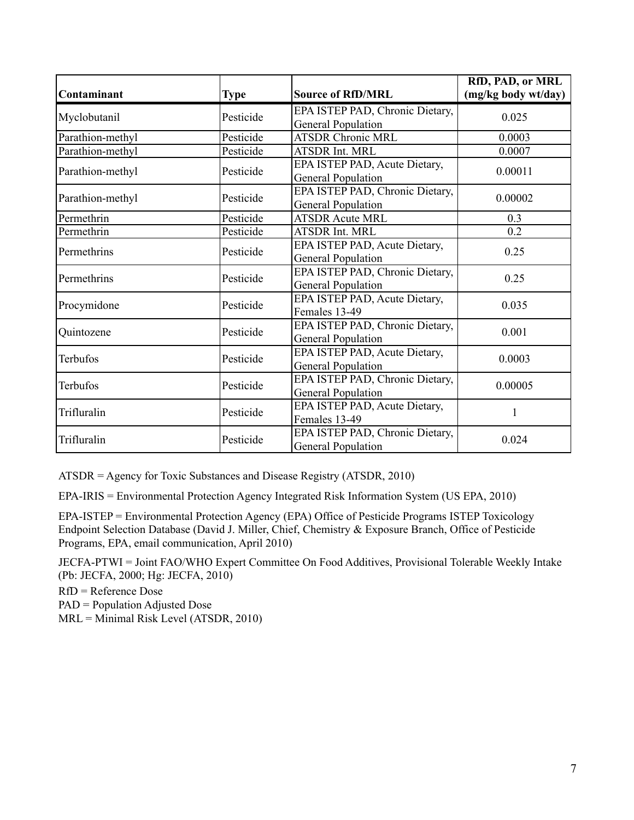| Contaminant      | <b>Type</b> | <b>Source of RfD/MRL</b>                                     | RfD, PAD, or MRL<br>(mg/kg body wt/day) |
|------------------|-------------|--------------------------------------------------------------|-----------------------------------------|
| Myclobutanil     | Pesticide   | EPA ISTEP PAD, Chronic Dietary,<br><b>General Population</b> | 0.025                                   |
| Parathion-methyl | Pesticide   | <b>ATSDR Chronic MRL</b>                                     | 0.0003                                  |
| Parathion-methyl | Pesticide   | <b>ATSDR Int. MRL</b>                                        | 0.0007                                  |
| Parathion-methyl | Pesticide   | EPA ISTEP PAD, Acute Dietary,<br><b>General Population</b>   | 0.00011                                 |
| Parathion-methyl | Pesticide   | EPA ISTEP PAD, Chronic Dietary,<br><b>General Population</b> | 0.00002                                 |
| Permethrin       | Pesticide   | <b>ATSDR Acute MRL</b>                                       | 0.3                                     |
| Permethrin       | Pesticide   | <b>ATSDR Int. MRL</b>                                        | 0.2                                     |
| Permethrins      | Pesticide   | EPA ISTEP PAD, Acute Dietary,<br><b>General Population</b>   | 0.25                                    |
| Permethrins      | Pesticide   | EPA ISTEP PAD, Chronic Dietary,<br><b>General Population</b> | 0.25                                    |
| Procymidone      | Pesticide   | EPA ISTEP PAD, Acute Dietary,<br>Females 13-49               | 0.035                                   |
| Quintozene       | Pesticide   | EPA ISTEP PAD, Chronic Dietary,<br><b>General Population</b> | 0.001                                   |
| Terbufos         | Pesticide   | EPA ISTEP PAD, Acute Dietary,<br><b>General Population</b>   | 0.0003                                  |
| Terbufos         | Pesticide   | EPA ISTEP PAD, Chronic Dietary,<br><b>General Population</b> | 0.00005                                 |
| Trifluralin      | Pesticide   | EPA ISTEP PAD, Acute Dietary,<br>Females 13-49               | 1                                       |
| Trifluralin      | Pesticide   | EPA ISTEP PAD, Chronic Dietary,<br><b>General Population</b> | 0.024                                   |

ATSDR = Agency for Toxic Substances and Disease Registry (ATSDR, 2010)

EPA-IRIS = Environmental Protection Agency Integrated Risk Information System (US EPA, 2010)

EPA-ISTEP = Environmental Protection Agency (EPA) Office of Pesticide Programs ISTEP Toxicology Endpoint Selection Database (David J. Miller, Chief, Chemistry & Exposure Branch, Office of Pesticide Programs, EPA, email communication, April 2010)

JECFA-PTWI = Joint FAO/WHO Expert Committee On Food Additives, Provisional Tolerable Weekly Intake (Pb: JECFA, 2000; Hg: JECFA, 2010)

RfD = Reference Dose PAD = Population Adjusted Dose MRL = Minimal Risk Level (ATSDR, 2010)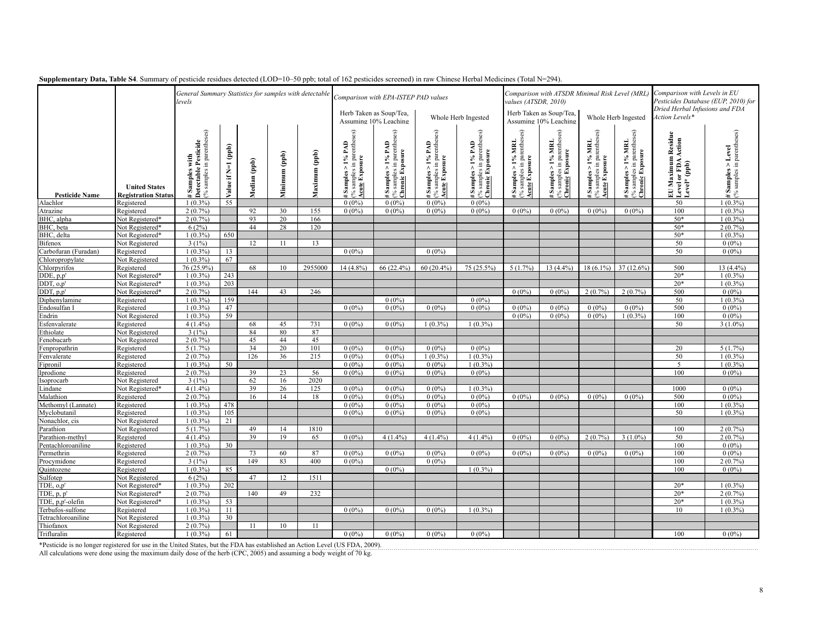|                       |                                                    | levels                                                                      | General Summary Statistics for samples with detectable |              |                |               |                                                                                                      | Comparison with EPA-ISTEP PAD values                                     |                                                                                        |                                                                                                                                                           |                                                                | Comparison with ATSDR Minimal Risk Level (MRL<br>values (ATSDR, 2010)  |                                                                             |                                                                    |                                                             | Comparison with Levels in EU<br>Pesticides Database (EUP, 2010) for<br>Dried Herbal Infusions and FDA |  |
|-----------------------|----------------------------------------------------|-----------------------------------------------------------------------------|--------------------------------------------------------|--------------|----------------|---------------|------------------------------------------------------------------------------------------------------|--------------------------------------------------------------------------|----------------------------------------------------------------------------------------|-----------------------------------------------------------------------------------------------------------------------------------------------------------|----------------------------------------------------------------|------------------------------------------------------------------------|-----------------------------------------------------------------------------|--------------------------------------------------------------------|-------------------------------------------------------------|-------------------------------------------------------------------------------------------------------|--|
|                       |                                                    |                                                                             |                                                        |              |                |               |                                                                                                      |                                                                          | Whole Herb Ingested                                                                    |                                                                                                                                                           | Herb Taken as Soup/Tea,<br>Assuming 10% Leaching               |                                                                        | Whole Herb Ingested                                                         |                                                                    | Action Levels*                                              |                                                                                                       |  |
| <b>Pesticide Name</b> | <b>United States</b><br><b>Registration Status</b> | % samples in parentheses)<br># Samples with<br>Detectable Pesticide<br>with | $(\text{p}, \text{p})$<br>Value if N=1                 | Median (ppb) | (dqq) mumimily | Maximum (ppb) | parentheses)<br>PAD<br>$\frac{5}{6}$<br><b>Acute Exposure</b><br>$#$ Samples > 1'<br>(% samples in ] | 3<br>% samples in parenthes<br>Chronic Exposure<br>$>1\%$ PAD<br>Samples | % samples in parentheses)<br>Acute Exposure<br>$1\%$ PAD<br>$\wedge$<br><b>Samples</b> | $\frac{\text{# Samples} > 1\% \text{ PAD}}{\text{(% samples in parentheses)}}$<br>( $\frac{\text{(% samples in parentheses)}}{\text{(Chronic Exposure)}}$ | $# Samples > 1\% MRI.(% samples in parentheses)Acute Exposure$ | $\frac{\text{# Samples} > 1\% \text{ MRI}}{\text{Chronic Expression}}$ | % samples in parentheses)<br><u>Acute</u> Exposure<br>$>1\%$ MRL<br>Samples | (% samples in parentheses)<br>Chronic Exposure<br>Samples > 1% MRL | EU Maximum Residue<br> Level or FDA Action<br> Level* (ppb) | $\epsilon$ Samples > Level<br>% samples in parentheses)<br>÷.                                         |  |
| Alachlor              | Registered                                         | $1(0.3\%)$                                                                  | 55                                                     |              |                |               | $0(0\%)$                                                                                             | $0(0\%)$                                                                 | $0(0\%)$                                                                               | $0(0\%)$                                                                                                                                                  |                                                                |                                                                        |                                                                             |                                                                    | 50                                                          | $1(0.3\%)$                                                                                            |  |
| Atrazine              | Registered                                         | 2(0.7%                                                                      |                                                        | 92           | 30             | 155           | $0(0\%)$                                                                                             | $0(0\%)$                                                                 | $0(0\%)$                                                                               | $0(0\%)$                                                                                                                                                  | $0(0\%)$                                                       | $0(0\%)$                                                               | $0(0\%)$                                                                    | $0(0\%)$                                                           | 100                                                         | $1(0.3\%)$                                                                                            |  |
| BHC, alpha            | Not Registered*                                    | $2(0.7\%)$                                                                  |                                                        | 93           | 20             | 166           |                                                                                                      |                                                                          |                                                                                        |                                                                                                                                                           |                                                                |                                                                        |                                                                             |                                                                    | $50*$                                                       | $1(0.3\%)$                                                                                            |  |
| BHC, beta             | Not Registered*                                    | 6(2%)                                                                       |                                                        | 44           | 28             | 120           |                                                                                                      |                                                                          |                                                                                        |                                                                                                                                                           |                                                                |                                                                        |                                                                             |                                                                    | $50*$                                                       | 2(0.7%                                                                                                |  |
| BHC, delta            | Not Registered*                                    | $1(0.3\%)$                                                                  | 650                                                    |              |                |               |                                                                                                      |                                                                          |                                                                                        |                                                                                                                                                           |                                                                |                                                                        |                                                                             |                                                                    | $50*$                                                       | $1(0.3\%)$                                                                                            |  |
| <b>Bifenox</b>        | Not Registered                                     | 3(1%)                                                                       |                                                        | 12           | 11             | 13            |                                                                                                      |                                                                          |                                                                                        |                                                                                                                                                           |                                                                |                                                                        |                                                                             |                                                                    | 50                                                          | $0(0\%)$                                                                                              |  |
| Carbofuran (Furadan)  | Registered                                         | $1(0.3\%)$                                                                  | 13                                                     |              |                |               | $0(0\%)$                                                                                             |                                                                          | $0(0\%)$                                                                               |                                                                                                                                                           |                                                                |                                                                        |                                                                             |                                                                    | 50                                                          | $0(0\%)$                                                                                              |  |
| Chloropropylate       | Not Registered                                     | $1(0.3\%)$                                                                  | 67                                                     |              |                |               |                                                                                                      |                                                                          |                                                                                        |                                                                                                                                                           |                                                                |                                                                        |                                                                             |                                                                    |                                                             |                                                                                                       |  |
| Chlorpyrifos          | Registered                                         | 76 (25.9%                                                                   |                                                        | 68           | 10             | 2955000       | 14 (4.8%)                                                                                            | 66 (22.4%)                                                               | $60(20.4\%)$                                                                           | 75 (25.5%)                                                                                                                                                | 5(1.7%)                                                        | $13(4.4\%)$                                                            | $18(6.1\%)$                                                                 | 37 (12.6%)                                                         | 500                                                         | 13 (4.4%)                                                                                             |  |
| DDE, p,p'             | Not Registered*                                    | $1(0.3\%)$                                                                  | 243                                                    |              |                |               |                                                                                                      |                                                                          |                                                                                        |                                                                                                                                                           |                                                                |                                                                        |                                                                             |                                                                    | $20*$                                                       | $1(0.3\%)$                                                                                            |  |
| DDT, o,p'             | Not Registered*                                    | $1(0.3\%)$                                                                  | 203                                                    |              |                |               |                                                                                                      |                                                                          |                                                                                        |                                                                                                                                                           |                                                                |                                                                        |                                                                             |                                                                    | $20*$                                                       | $1(0.3\%)$                                                                                            |  |
| DDT, p,p'             | Not Registered*                                    | 2(0.7%                                                                      |                                                        | 144          | 43             | 246           |                                                                                                      |                                                                          |                                                                                        |                                                                                                                                                           | $0(0\%)$                                                       | $0(0\%)$                                                               | $2(0.7\%)$                                                                  | $2(0.7\%)$                                                         | 500                                                         | $0(0\%)$                                                                                              |  |
| Diphenylamine         | Registered                                         | $1(0.3\%)$                                                                  | 159                                                    |              |                |               |                                                                                                      | $0(0\%)$                                                                 |                                                                                        | $0(0\%)$                                                                                                                                                  |                                                                |                                                                        |                                                                             |                                                                    | 50                                                          | $1(0.3\%)$                                                                                            |  |
| Endosulfan I          | Registered                                         | 1(0.3%                                                                      | 47                                                     |              |                |               | $0(0\%)$                                                                                             | 0(0%                                                                     | $0(0\%)$                                                                               | 0(0%                                                                                                                                                      | 0(0%                                                           | 0(0%                                                                   | 0(0%                                                                        | 0(0%                                                               | 500                                                         | 0(0%                                                                                                  |  |
| Endrin                | Not Registered                                     | $1(0.3\%)$                                                                  | 59                                                     |              |                |               |                                                                                                      |                                                                          |                                                                                        |                                                                                                                                                           | $0(0\%)$                                                       | $0(0\%)$                                                               | $0(0\%)$                                                                    | $1(0.3\%)$                                                         | 100                                                         | $0(0\%)$                                                                                              |  |
| Esfenvalerate         | Registered                                         | 4(1.4%                                                                      |                                                        | 68           | 45             | 731           | 0(0%                                                                                                 | $0(0\%)$                                                                 | $1(0.3\%)$                                                                             | $1(0.3\%)$                                                                                                                                                |                                                                |                                                                        |                                                                             |                                                                    | 50                                                          | $3(1.0\%)$                                                                                            |  |
| Ethiolate             | Not Registered                                     | $3(1\%)$                                                                    |                                                        | 84           | 80             | 87            |                                                                                                      |                                                                          |                                                                                        |                                                                                                                                                           |                                                                |                                                                        |                                                                             |                                                                    |                                                             |                                                                                                       |  |
| enobucarb             | Not Registered                                     | 2(0.7%                                                                      |                                                        | 45           | 44             | 45            |                                                                                                      |                                                                          |                                                                                        |                                                                                                                                                           |                                                                |                                                                        |                                                                             |                                                                    |                                                             |                                                                                                       |  |
| enpropathrin          | Registered                                         | 5(1.7%)                                                                     |                                                        | 34           | 20             | 101           | 0(0%                                                                                                 | $0(0\%)$                                                                 | $0(0\%)$                                                                               | $0(0\%)$                                                                                                                                                  |                                                                |                                                                        |                                                                             |                                                                    | 20                                                          | 5(1.7%                                                                                                |  |
| Fenvalerate           | Registered                                         | 2(0.7%                                                                      |                                                        | 126          | 36             | 215           | 0(0%                                                                                                 | 0(0%                                                                     | $1(0.3\%)$                                                                             | $1(0.3\%)$                                                                                                                                                |                                                                |                                                                        |                                                                             |                                                                    | 50                                                          | $1(0.3\%)$                                                                                            |  |
| ipronil               | Registered                                         | $1(0.3\%)$                                                                  | 50                                                     |              |                |               | $0(0\%)$                                                                                             | 0(0%                                                                     | $0(0\%)$                                                                               | $1(0.3\%)$                                                                                                                                                |                                                                |                                                                        |                                                                             |                                                                    | 5                                                           | $1(0.3\%)$                                                                                            |  |
| prodione              | Registered                                         | 2(0.7%                                                                      |                                                        | 39           | 23             | 56            | $0(0\%)$                                                                                             | $0(0\%)$                                                                 | $0(0\%)$                                                                               | $0(0\%)$                                                                                                                                                  |                                                                |                                                                        |                                                                             |                                                                    | 100                                                         | $0(0\%)$                                                                                              |  |
| Isoprocarb            | Not Registered                                     | $3(1\%)$                                                                    |                                                        | 62           | 16             | 2020          |                                                                                                      |                                                                          |                                                                                        |                                                                                                                                                           |                                                                |                                                                        |                                                                             |                                                                    |                                                             |                                                                                                       |  |
| indane                | Not Registered*                                    | 4(1.4%                                                                      |                                                        | 39           | 26             | 125           | 0(0%                                                                                                 | 0(0%                                                                     | $0(0\%)$                                                                               | $1(0.3\%)$                                                                                                                                                |                                                                |                                                                        |                                                                             |                                                                    | 1000                                                        | 0(0%                                                                                                  |  |
| Malathion             | Registered                                         | 2(0.7%                                                                      |                                                        | 16           | 14             | 18            | $0(0\%)$                                                                                             | 0(0%                                                                     | $0(0\%)$                                                                               | $0(0\%)$                                                                                                                                                  | $0(0\%)$                                                       | $0(0\%)$                                                               | $0(0\%)$                                                                    | $0(0\%)$                                                           | 500                                                         | $0(0\%)$                                                                                              |  |
| Methomyl (Lannate)    | Registered                                         | $1(0.3\%)$                                                                  | 478                                                    |              |                |               | $0(0\%)$                                                                                             | $0(0\%)$                                                                 | $0(0\%)$                                                                               | $0(0\%)$                                                                                                                                                  |                                                                |                                                                        |                                                                             |                                                                    | 100                                                         | $1(0.3\%)$                                                                                            |  |
| Myclobutanil          | Registered                                         | $1(0.3\%)$                                                                  | 105                                                    |              |                |               | $0(0\%)$                                                                                             | $0(0\%)$                                                                 | $0(0\%)$                                                                               | $0(0\%)$                                                                                                                                                  |                                                                |                                                                        |                                                                             |                                                                    | 50                                                          | $1(0.3\%)$                                                                                            |  |
| Nonachlor, cis        | Not Registered                                     | $1(0.3\%)$                                                                  | 21                                                     |              |                |               |                                                                                                      |                                                                          |                                                                                        |                                                                                                                                                           |                                                                |                                                                        |                                                                             |                                                                    |                                                             |                                                                                                       |  |
| Parathion             | Not Registered                                     | 5(1.7%)                                                                     |                                                        | 49           | 14             | 1810          |                                                                                                      |                                                                          |                                                                                        |                                                                                                                                                           |                                                                |                                                                        |                                                                             |                                                                    | 100                                                         | 2(0.7%                                                                                                |  |
| Parathion-methyl      | Registered                                         | 4(1.4%                                                                      |                                                        | 39           | 19             | 65            | $0(0\%)$                                                                                             | $4(1.4\%)$                                                               | $4(1.4\%)$                                                                             | 4(1.4%                                                                                                                                                    | 0(0%                                                           | 0(0%                                                                   | $2(0.7\%)$                                                                  | $3(1.0\%)$                                                         | 50                                                          | 2(0.7%                                                                                                |  |
| Pentachloroaniline    | Registered                                         | $1(0.3\%)$                                                                  | 30                                                     |              |                |               |                                                                                                      |                                                                          |                                                                                        |                                                                                                                                                           |                                                                |                                                                        |                                                                             |                                                                    | 100                                                         | $0(0\%)$                                                                                              |  |
| Permethrin            | Registered                                         | 2(0.7%                                                                      |                                                        | 73           | 60             | 87            | 0(0%                                                                                                 | $0(0\%)$                                                                 | $0(0\%)$                                                                               | $0(0\%)$                                                                                                                                                  | $0(0\%)$                                                       | $0(0\%)$                                                               | $0(0\%)$                                                                    | $0(0\%)$                                                           | 100                                                         | $0(0\%)$                                                                                              |  |
| Procymidone           | Registered                                         | 3(1%)                                                                       |                                                        | 149          | 83             | 400           | $0(0\%)$                                                                                             |                                                                          | $0(0\%)$                                                                               |                                                                                                                                                           |                                                                |                                                                        |                                                                             |                                                                    | 100                                                         | 2(0.7%                                                                                                |  |
| <b>Juintozene</b>     | Registered                                         | 1(0.3%                                                                      | 85                                                     |              |                |               |                                                                                                      | $0(0\%)$                                                                 |                                                                                        | $1(0.3\%)$                                                                                                                                                |                                                                |                                                                        |                                                                             |                                                                    | 100                                                         | 0(0%                                                                                                  |  |
| ulfotep               | Not Registered                                     | 6(2%)                                                                       |                                                        | 47           | 12             | 1511          |                                                                                                      |                                                                          |                                                                                        |                                                                                                                                                           |                                                                |                                                                        |                                                                             |                                                                    |                                                             |                                                                                                       |  |
| TDE. 0.D'             | Not Registered*                                    | $1(0.3\%)$                                                                  | 202                                                    |              |                |               |                                                                                                      |                                                                          |                                                                                        |                                                                                                                                                           |                                                                |                                                                        |                                                                             |                                                                    | $20*$                                                       | $1(0.3\%)$                                                                                            |  |
|                       |                                                    |                                                                             |                                                        |              | 49             | 232           |                                                                                                      |                                                                          |                                                                                        |                                                                                                                                                           |                                                                |                                                                        |                                                                             |                                                                    | $20*$                                                       | $2(0.7\%)$                                                                                            |  |
| TDE, p, p'            | Not Registered*                                    | 2(0.7%                                                                      |                                                        | 140          |                |               |                                                                                                      |                                                                          |                                                                                        |                                                                                                                                                           |                                                                |                                                                        |                                                                             |                                                                    |                                                             |                                                                                                       |  |
| TDE, p.p'-olefin      | Not Registered*                                    | $1(0.3\%)$                                                                  | 53                                                     |              |                |               |                                                                                                      |                                                                          |                                                                                        |                                                                                                                                                           |                                                                |                                                                        |                                                                             |                                                                    | $20*$                                                       | $1(0.3\%)$                                                                                            |  |
| Terbufos-sulfone      | Registered                                         | $1(0.3\%$                                                                   | 11                                                     |              |                |               | $0(0\%)$                                                                                             | $0(0\%)$                                                                 | $0(0\%)$                                                                               | $1(0.3\%)$                                                                                                                                                |                                                                |                                                                        |                                                                             |                                                                    | 10                                                          | $1(0.3\%)$                                                                                            |  |
| Tetrachloroaniline    | <b>Not Registered</b>                              | $1(0.3\%)$                                                                  | 30                                                     |              |                |               |                                                                                                      |                                                                          |                                                                                        |                                                                                                                                                           |                                                                |                                                                        |                                                                             |                                                                    |                                                             |                                                                                                       |  |
| Thiofanox             | Not Registered                                     | 2(0.7%                                                                      |                                                        | 11           | 10             | 11            |                                                                                                      |                                                                          |                                                                                        |                                                                                                                                                           |                                                                |                                                                        |                                                                             |                                                                    |                                                             |                                                                                                       |  |
| Trifluralin           | Registered                                         | $1(0.3\%)$                                                                  | 61                                                     |              |                |               | $0(0\%)$                                                                                             | $0(0\%)$                                                                 | $0(0\%)$                                                                               | $0(0\%)$                                                                                                                                                  |                                                                |                                                                        |                                                                             |                                                                    | 100                                                         | 0(0%                                                                                                  |  |

#### **Supplementary Data, Table S4**. Summary of pesticide residues detected (LOD=10–50 ppb; total of 162 pesticides screened) in raw Chinese Herbal Medicines (Total N=294).

\*Pesticide is no longer registered for use in the United States, but the FDA has established an Action Level (US FDA, 2009).<br>All calculations were done using the maximum daily dose of the herb (CPC, 2005) and assuming a bo